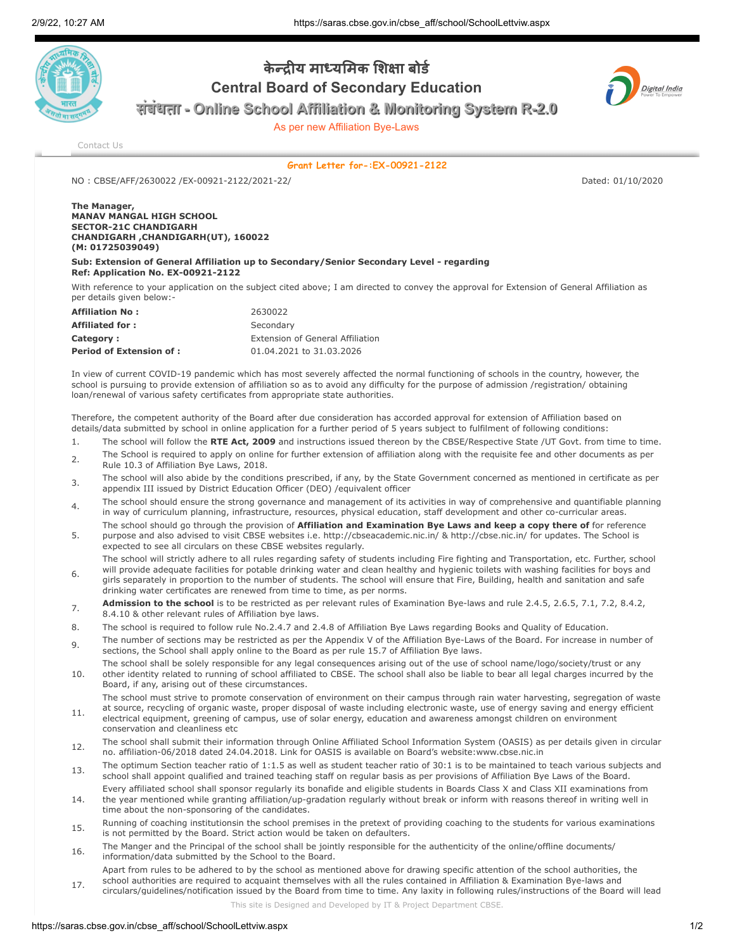

## केन्दीय माध्यमिक शिक्षा बोर्ड Central Board of Secondary Education

संसंसंबंसंबंबंधबं ताताताता - Online School Affiliation & Monitoring System R-2.0

As per new Affiliation Bye-Laws



[Contact Us](https://saras.cbse.gov.in/cbse_aff/help.aspx)

Grant Letter for-:EX-00921-2122

NO : CBSE/AFF/2630022 /EX-00921-2122/2021-22/ Dated: 01/10/2020

The Manager, MANAV MANGAL HIGH SCHOOL SECTOR-21C CHANDIGARH CHANDIGARH ,CHANDIGARH(UT), 160022 (M: 01725039049)

Sub: Extension of General Affiliation up to Secondary/Senior Secondary Level - regarding Ref: Application No. EX-00921-2122

With reference to your application on the subject cited above; I am directed to convey the approval for Extension of General Affiliation as per details given below:-

| <b>Affiliation No:</b>          | 2630022                          |
|---------------------------------|----------------------------------|
| <b>Affiliated for:</b>          | Secondary                        |
| Category:                       | Extension of General Affiliation |
| <b>Period of Extension of :</b> | 01.04.2021 to 31.03.2026         |

In view of current COVID-19 pandemic which has most severely affected the normal functioning of schools in the country, however, the school is pursuing to provide extension of affiliation so as to avoid any difficulty for the purpose of admission /registration/ obtaining loan/renewal of various safety certificates from appropriate state authorities.

Therefore, the competent authority of the Board after due consideration has accorded approval for extension of Affiliation based on details/data submitted by school in online application for a further period of 5 years subject to fulfilment of following conditions:

- 1. The school will follow the RTE Act, 2009 and instructions issued thereon by the CBSE/Respective State /UT Govt. from time to time.
- 2. The School is required to apply on online for further extension of affiliation along with the requisite fee and other documents as per Rule 10.3 of Affiliation Bye Laws, 2018.
- <sub>3</sub> The school will also abide by the conditions prescribed, if any, by the State Government concerned as mentioned in certificate as per appendix III issued by District Education Officer (DEO) /equivalent officer
- The school should ensure the strong governance and management of its activities in way of comprehensive and quantifiable planning in way of curriculum planning, infrastructure, resources, physical education, staff development and other co-curricular areas.
- 5. The school should go through the provision of Affiliation and Examination Bye Laws and keep a copy there of for reference purpose and also advised to visit CBSE websites i.e. http://cbseacademic.nic.in/ & http://cbse.nic.in/ for updates. The School is expected to see all circulars on these CBSE websites regularly.

The school will strictly adhere to all rules regarding safety of students including Fire fighting and Transportation, etc. Further, school will provide adequate facilities for potable drinking water and clean healthy and hygienic toilets with washing facilities for boys and

- 6. girls separately in proportion to the number of students. The school will ensure that Fire, Building, health and sanitation and safe drinking water certificates are renewed from time to time, as per norms.
- 7. Admission to the school is to be restricted as per relevant rules of Examination Bye-laws and rule 2.4.5, 2.6.5, 7.1, 7.2, 8.4.2, 8.4.10 & other relevant rules of Affiliation bye laws.
- 8. The school is required to follow rule No.2.4.7 and 2.4.8 of Affiliation Bye Laws regarding Books and Quality of Education.
- 9. The number of sections may be restricted as per the Appendix V of the Affiliation Bye-Laws of the Board. For increase in number of sections, the School shall apply online to the Board as per rule 15.7 of Affiliation Bye laws.
- 10. The school shall be solely responsible for any legal consequences arising out of the use of school name/logo/society/trust or any other identity related to running of school affiliated to CBSE. The school shall also be liable to bear all legal charges incurred by the Board, if any, arising out of these circumstances.
- 11. The school must strive to promote conservation of environment on their campus through rain water harvesting, segregation of waste at source, recycling of organic waste, proper disposal of waste including electronic waste, use of energy saving and energy efficient
- electrical equipment, greening of campus, use of solar energy, education and awareness amongst children on environment conservation and cleanliness etc
- 12. The school shall submit their information through Online Affiliated School Information System (OASIS) as per details given in circular no. affiliation-06/2018 dated 24.04.2018. Link for OASIS is available on Board's website:www.cbse.nic.in
- 13. The optimum Section teacher ratio of 1:1.5 as well as student teacher ratio of 30:1 is to be maintained to teach various subjects and school shall appoint qualified and trained teaching staff on regular basis as per provisions of Affiliation Bye Laws of the Board.
- 14. Every affiliated school shall sponsor regularly its bonafide and eligible students in Boards Class X and Class XII examinations from the year mentioned while granting affiliation/up-gradation regularly without break or inform with reasons thereof in writing well in time about the non-sponsoring of the candidates.
- 15. Running of coaching institutionsin the school premises in the pretext of providing coaching to the students for various examinations is not permitted by the Board. Strict action would be taken on defaulters.
- 16. The Manger and the Principal of the school shall be jointly responsible for the authenticity of the online/offline documents/ information/data submitted by the School to the Board.
- 17. Apart from rules to be adhered to by the school as mentioned above for drawing specific attention of the school authorities, the school authorities are required to acquaint themselves with all the rules contained in Affiliation & Examination Bye-laws and

circulars/guidelines/notification issued by the Board from time to time. Any laxity in following rules/instructions of the Board will lead

This site is Designed and Developed by IT & Project Department CBSE.